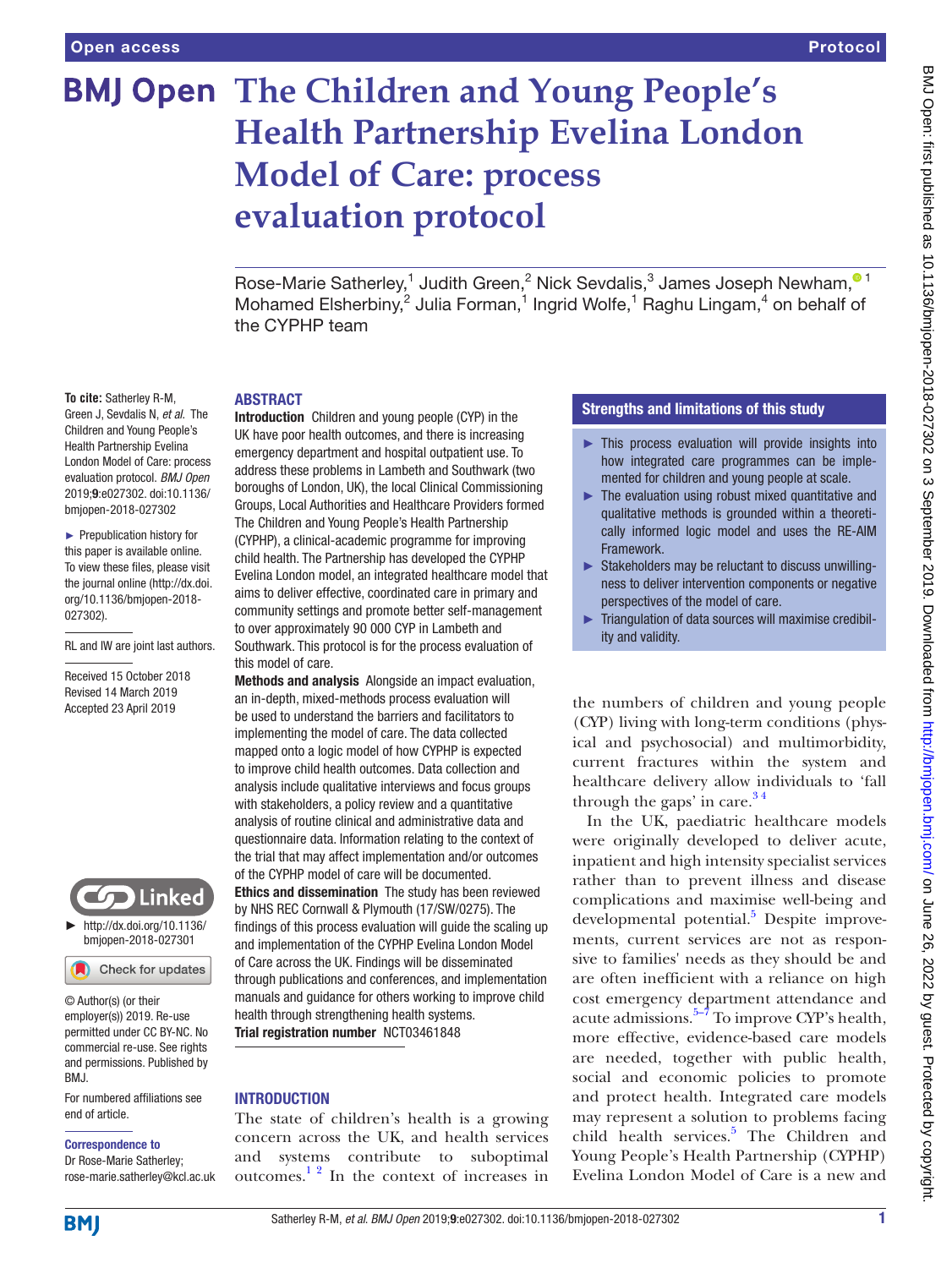# **BMJ Open The Children and Young People's Health Partnership Evelina London Model of Care: process evaluation protocol**

Rose-Marie Satherley,<sup>1</sup> Judith Green,<sup>2</sup> Nick Sevdalis,<sup>3</sup> James Joseph Newham,<sup>® 1</sup> Mohamed Elsherbiny,<sup>2</sup> Julia Forman,<sup>1</sup> Ingrid Wolfe,<sup>1</sup> Raghu Lingam,<sup>4</sup> on behalf of the CYPHP team

## **ABSTRACT**

**To cite:** Satherley R-M, Green J, Sevdalis N, *et al*. The Children and Young People's Health Partnership Evelina London Model of Care: process evaluation protocol. *BMJ Open* 2019;9:e027302. doi:10.1136/ bmjopen-2018-027302

► Prepublication history for this paper is available online. To view these files, please visit the journal online (http://dx.doi. org/10.1136/bmjopen-2018- 027302).

RL and IW are joint last authors.

Received 15 October 2018 Revised 14 March 2019 Accepted 23 April 2019



► [http://dx.doi.org/10.1136/](http://dx.doi.org/10.1136/bmjopen-2018-027301) [bmjopen-2018-027301](http://dx.doi.org/10.1136/bmjopen-2018-027301)



© Author(s) (or their employer(s)) 2019. Re-use permitted under CC BY-NC. No commercial re-use. See rights and permissions. Published by BMJ.

For numbered affiliations see end of article.

#### Correspondence to

Dr Rose-Marie Satherley; rose-marie.satherley@kcl.ac.uk

Introduction Children and young people (CYP) in the UK have poor health outcomes, and there is increasing emergency department and hospital outpatient use. To address these problems in Lambeth and Southwark (two boroughs of London, UK), the local Clinical Commissioning Groups, Local Authorities and Healthcare Providers formed The Children and Young People's Health Partnership (CYPHP), a clinical-academic programme for improving child health. The Partnership has developed the CYPHP Evelina London model, an integrated healthcare model that aims to deliver effective, coordinated care in primary and community settings and promote better self-management to over approximately 90 000 CYP in Lambeth and Southwark. This protocol is for the process evaluation of this model of care.

Methods and analysis Alongside an impact evaluation, an in-depth, mixed-methods process evaluation will be used to understand the barriers and facilitators to implementing the model of care. The data collected mapped onto a logic model of how CYPHP is expected to improve child health outcomes. Data collection and analysis include qualitative interviews and focus groups with stakeholders, a policy review and a quantitative analysis of routine clinical and administrative data and questionnaire data. Information relating to the context of the trial that may affect implementation and/or outcomes of the CYPHP model of care will be documented. Ethics and dissemination The study has been reviewed by NHS REC Cornwall & Plymouth (17/SW/0275). The findings of this process evaluation will guide the scaling up and implementation of the CYPHP Evelina London Model of Care across the UK. Findings will be disseminated through publications and conferences, and implementation manuals and guidance for others working to improve child health through strengthening health systems. Trial registration number <NCT03461848>

## **INTRODUCTION**

The state of children's health is a growing concern across the UK, and health services and systems contribute to suboptimal outcomes.[1 2](#page-6-0) In the context of increases in

## Strengths and limitations of this study

- ► This process evaluation will provide insights into how integrated care programmes can be implemented for children and young people at scale.
- $\blacktriangleright$  The evaluation using robust mixed quantitative and qualitative methods is grounded within a theoretically informed logic model and uses the RE-AIM Framework.
- ► Stakeholders may be reluctant to discuss unwillingness to deliver intervention components or negative perspectives of the model of care.
- ► Triangulation of data sources will maximise credibility and validity.

the numbers of children and young people (CYP) living with long-term conditions (physical and psychosocial) and multimorbidity, current fractures within the system and healthcare delivery allow individuals to 'fall through the gaps' in care. $3<sup>4</sup>$ 

In the UK, paediatric healthcare models were originally developed to deliver acute, inpatient and high intensity specialist services rather than to prevent illness and disease complications and maximise well-being and developmental potential.<sup>[5](#page-6-2)</sup> Despite improvements, current services are not as responsive to families' needs as they should be and are often inefficient with a reliance on high cost emergency department attendance and acute admissions.<sup>5-7</sup> To improve CYP's health, more effective, evidence-based care models are needed, together with public health, social and economic policies to promote and protect health. Integrated care models may represent a solution to problems facing child health services.<sup>5</sup> The Children and Young People's Health Partnership (CYPHP) Evelina London Model of Care is a new and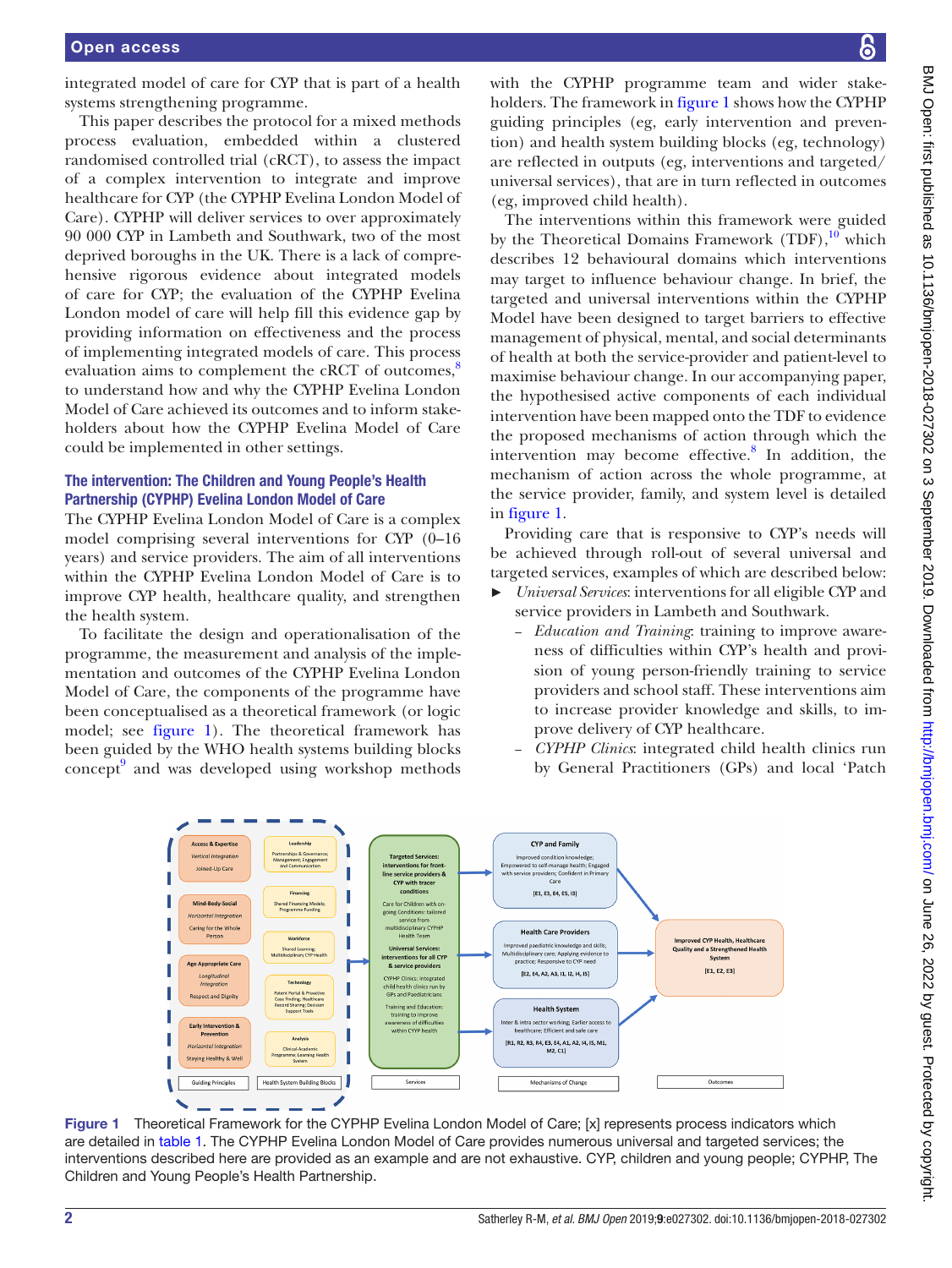integrated model of care for CYP that is part of a health systems strengthening programme.

This paper describes the protocol for a mixed methods process evaluation, embedded within a clustered randomised controlled trial (cRCT), to assess the impact of a complex intervention to integrate and improve healthcare for CYP (the CYPHP Evelina London Model of Care). CYPHP will deliver services to over approximately 90 000 CYP in Lambeth and Southwark, two of the most deprived boroughs in the UK. There is a lack of comprehensive rigorous evidence about integrated models of care for CYP; the evaluation of the CYPHP Evelina London model of care will help fill this evidence gap by providing information on effectiveness and the process of implementing integrated models of care. This process evaluation aims to complement the cRCT of outcomes, $\frac{8}{3}$  $\frac{8}{3}$  $\frac{8}{3}$ to understand how and why the CYPHP Evelina London Model of Care achieved its outcomes and to inform stakeholders about how the CYPHP Evelina Model of Care could be implemented in other settings.

# The intervention: The Children and Young People's Health Partnership (CYPHP) Evelina London Model of Care

The CYPHP Evelina London Model of Care is a complex model comprising several interventions for CYP (0–16 years) and service providers. The aim of all interventions within the CYPHP Evelina London Model of Care is to improve CYP health, healthcare quality, and strengthen the health system.

To facilitate the design and operationalisation of the programme, the measurement and analysis of the implementation and outcomes of the CYPHP Evelina London Model of Care, the components of the programme have been conceptualised as a theoretical framework (or logic model; see [figure](#page-1-0) 1). The theoretical framework has been guided by the WHO health systems building blocks concept<sup>[9](#page-6-4)</sup> and was developed using workshop methods with the CYPHP programme team and wider stakeholders. The framework in [figure](#page-1-0) 1 shows how the CYPHP guiding principles (eg, early intervention and prevention) and health system building blocks (eg, technology) are reflected in outputs (eg, interventions and targeted/ universal services), that are in turn reflected in outcomes (eg, improved child health).

The interventions within this framework were guided by the Theoretical Domains Framework  $(TDF)$ ,<sup>10</sup> which describes 12 behavioural domains which interventions may target to influence behaviour change. In brief, the targeted and universal interventions within the CYPHP Model have been designed to target barriers to effective management of physical, mental, and social determinants of health at both the service-provider and patient-level to maximise behaviour change. In our accompanying paper, the hypothesised active components of each individual intervention have been mapped onto the TDF to evidence the proposed mechanisms of action through which the intervention may become effective.<sup>[8](#page-6-3)</sup> In addition, the mechanism of action across the whole programme, at the service provider, family, and system level is detailed in [figure](#page-1-0) 1.

Providing care that is responsive to CYP's needs will be achieved through roll-out of several universal and targeted services, examples of which are described below:

- ► *Universal Services*: interventions for all eligible CYP and service providers in Lambeth and Southwark.
	- *Education and Training*: training to improve awareness of difficulties within CYP's health and provision of young person-friendly training to service providers and school staff. These interventions aim to increase provider knowledge and skills, to improve delivery of CYP healthcare.
	- *CYPHP Clinics*: integrated child health clinics run by General Practitioners (GPs) and local 'Patch



<span id="page-1-0"></span>Figure 1 Theoretical Framework for the CYPHP Evelina London Model of Care; [x] represents process indicators which are detailed in [table 1.](#page-4-0) The CYPHP Evelina London Model of Care provides numerous universal and targeted services; the interventions described here are provided as an example and are not exhaustive. CYP, children and young people; CYPHP, The Children and Young People's Health Partnership.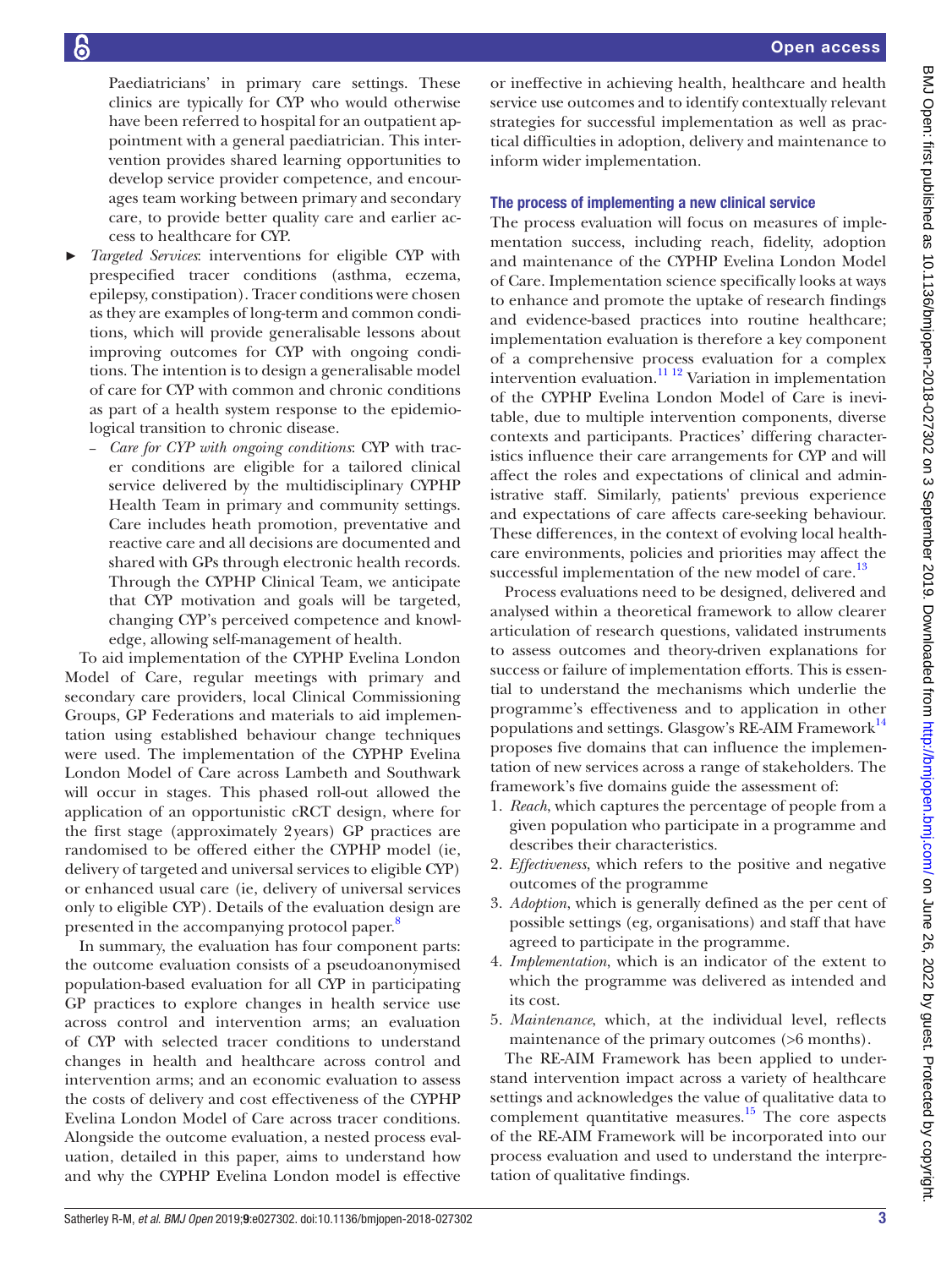Paediatricians' in primary care settings. These clinics are typically for CYP who would otherwise have been referred to hospital for an outpatient appointment with a general paediatrician. This intervention provides shared learning opportunities to develop service provider competence, and encourages team working between primary and secondary care, to provide better quality care and earlier access to healthcare for CYP.

- ► *Targeted Services*: interventions for eligible CYP with prespecified tracer conditions (asthma, eczema, epilepsy, constipation). Tracer conditions were chosen as they are examples of long-term and common conditions, which will provide generalisable lessons about improving outcomes for CYP with ongoing conditions. The intention is to design a generalisable model of care for CYP with common and chronic conditions as part of a health system response to the epidemiological transition to chronic disease.
	- *Care for CYP with ongoing conditions*: CYP with tracer conditions are eligible for a tailored clinical service delivered by the multidisciplinary CYPHP Health Team in primary and community settings. Care includes heath promotion, preventative and reactive care and all decisions are documented and shared with GPs through electronic health records. Through the CYPHP Clinical Team, we anticipate that CYP motivation and goals will be targeted, changing CYP's perceived competence and knowledge, allowing self-management of health.

To aid implementation of the CYPHP Evelina London Model of Care, regular meetings with primary and secondary care providers, local Clinical Commissioning Groups, GP Federations and materials to aid implementation using established behaviour change techniques were used. The implementation of the CYPHP Evelina London Model of Care across Lambeth and Southwark will occur in stages. This phased roll-out allowed the application of an opportunistic cRCT design, where for the first stage (approximately 2years) GP practices are randomised to be offered either the CYPHP model (ie, delivery of targeted and universal services to eligible CYP) or enhanced usual care (ie, delivery of universal services only to eligible CYP). Details of the evaluation design are presented in the accompanying protocol paper.<sup>8</sup>

In summary, the evaluation has four component parts: the outcome evaluation consists of a pseudoanonymised population-based evaluation for all CYP in participating GP practices to explore changes in health service use across control and intervention arms; an evaluation of CYP with selected tracer conditions to understand changes in health and healthcare across control and intervention arms; and an economic evaluation to assess the costs of delivery and cost effectiveness of the CYPHP Evelina London Model of Care across tracer conditions. Alongside the outcome evaluation, a nested process evaluation, detailed in this paper, aims to understand how and why the CYPHP Evelina London model is effective

or ineffective in achieving health, healthcare and health service use outcomes and to identify contextually relevant strategies for successful implementation as well as practical difficulties in adoption, delivery and maintenance to inform wider implementation.

# The process of implementing a new clinical service

The process evaluation will focus on measures of implementation success, including reach, fidelity, adoption and maintenance of the CYPHP Evelina London Model of Care. Implementation science specifically looks at ways to enhance and promote the uptake of research findings and evidence-based practices into routine healthcare; implementation evaluation is therefore a key component of a comprehensive process evaluation for a complex intervention evaluation. $1112$  Variation in implementation of the CYPHP Evelina London Model of Care is inevitable, due to multiple intervention components, diverse contexts and participants. Practices' differing characteristics influence their care arrangements for CYP and will affect the roles and expectations of clinical and administrative staff. Similarly, patients' previous experience and expectations of care affects care-seeking behaviour. These differences, in the context of evolving local healthcare environments, policies and priorities may affect the successful implementation of the new model of care.<sup>[13](#page-6-7)</sup>

Process evaluations need to be designed, delivered and analysed within a theoretical framework to allow clearer articulation of research questions, validated instruments to assess outcomes and theory-driven explanations for success or failure of implementation efforts. This is essential to understand the mechanisms which underlie the programme's effectiveness and to application in other populations and settings. Glasgow's RE-AIM Framework<sup>[14](#page-6-8)</sup> proposes five domains that can influence the implementation of new services across a range of stakeholders. The framework's five domains guide the assessment of:

- 1. *Reach*, which captures the percentage of people from a given population who participate in a programme and describes their characteristics.
- 2. *Effectiveness*, which refers to the positive and negative outcomes of the programme
- 3. *Adoption*, which is generally defined as the per cent of possible settings (eg, organisations) and staff that have agreed to participate in the programme.
- 4. *Implementation*, which is an indicator of the extent to which the programme was delivered as intended and its cost.
- 5. *Maintenance*, which, at the individual level, reflects maintenance of the primary outcomes (>6 months).

The RE-AIM Framework has been applied to understand intervention impact across a variety of healthcare settings and acknowledges the value of qualitative data to complement quantitative measures. $15$  The core aspects of the RE-AIM Framework will be incorporated into our process evaluation and used to understand the interpretation of qualitative findings.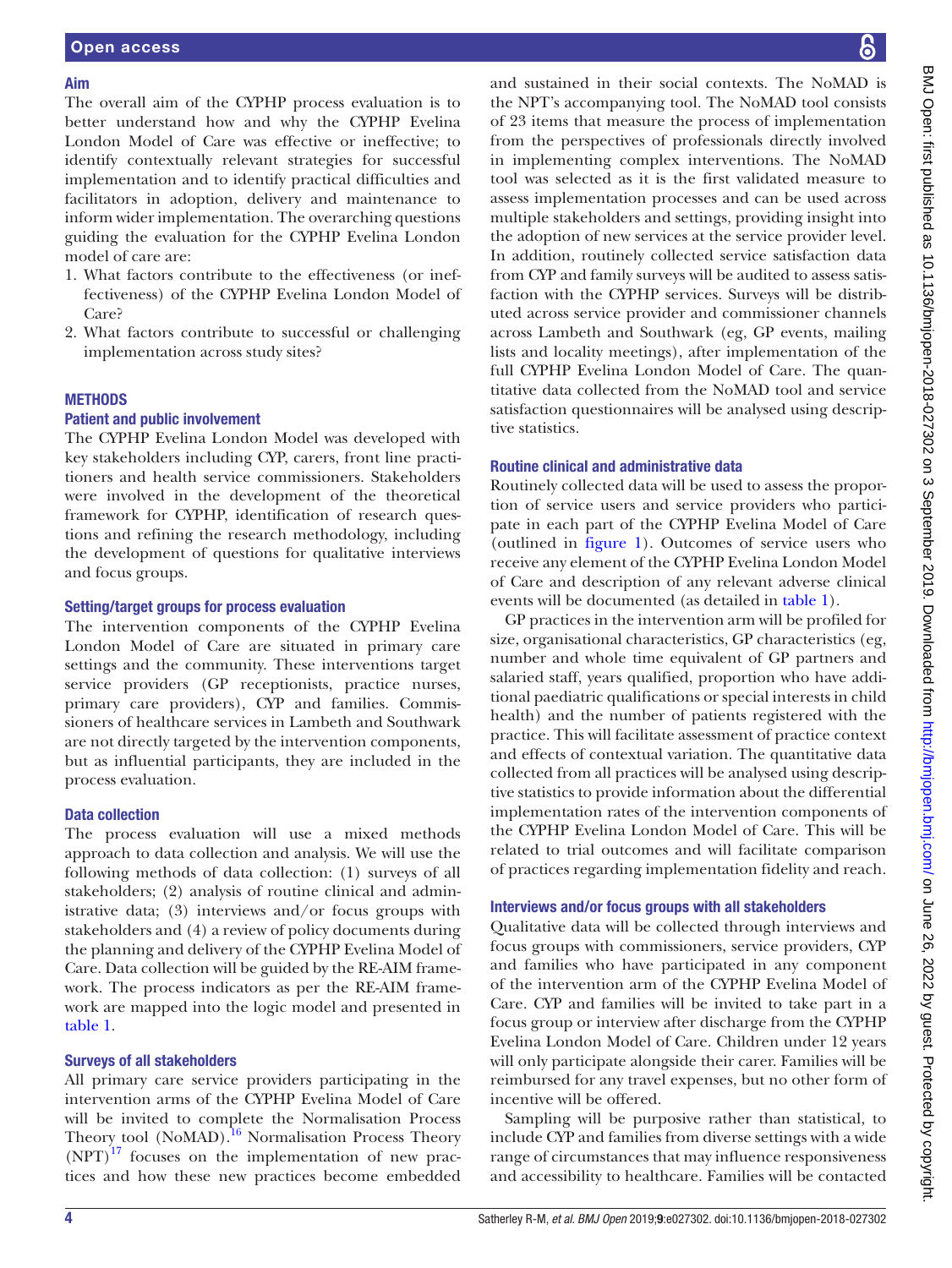## Aim

The overall aim of the CYPHP process evaluation is to better understand how and why the CYPHP Evelina London Model of Care was effective or ineffective; to identify contextually relevant strategies for successful implementation and to identify practical difficulties and facilitators in adoption, delivery and maintenance to inform wider implementation. The overarching questions guiding the evaluation for the CYPHP Evelina London model of care are:

- 1. What factors contribute to the effectiveness (or ineffectiveness) of the CYPHP Evelina London Model of Care?
- 2. What factors contribute to successful or challenging implementation across study sites?

## **METHODS**

## Patient and public involvement

The CYPHP Evelina London Model was developed with key stakeholders including CYP, carers, front line practitioners and health service commissioners. Stakeholders were involved in the development of the theoretical framework for CYPHP, identification of research questions and refining the research methodology, including the development of questions for qualitative interviews and focus groups.

## Setting/target groups for process evaluation

The intervention components of the CYPHP Evelina London Model of Care are situated in primary care settings and the community. These interventions target service providers (GP receptionists, practice nurses, primary care providers), CYP and families. Commissioners of healthcare services in Lambeth and Southwark are not directly targeted by the intervention components, but as influential participants, they are included in the process evaluation.

## Data collection

The process evaluation will use a mixed methods approach to data collection and analysis. We will use the following methods of data collection: (1) surveys of all stakeholders; (2) analysis of routine clinical and administrative data; (3) interviews and/or focus groups with stakeholders and (4) a review of policy documents during the planning and delivery of the CYPHP Evelina Model of Care. Data collection will be guided by the RE-AIM framework. The process indicators as per the RE-AIM framework are mapped into the logic model and presented in [table](#page-4-0) 1.

## Surveys of all stakeholders

All primary care service providers participating in the intervention arms of the CYPHP Evelina Model of Care will be invited to complete the Normalisation Process Theory tool  $(NoMAD)$ <sup>16</sup> Normalisation Process Theory  $(NPT)^{17}$  focuses on the implementation of new practices and how these new practices become embedded

and sustained in their social contexts. The NoMAD is the NPT's accompanying tool. The NoMAD tool consists of 23 items that measure the process of implementation from the perspectives of professionals directly involved in implementing complex interventions. The NoMAD tool was selected as it is the first validated measure to assess implementation processes and can be used across multiple stakeholders and settings, providing insight into the adoption of new services at the service provider level. In addition, routinely collected service satisfaction data from CYP and family surveys will be audited to assess satisfaction with the CYPHP services. Surveys will be distributed across service provider and commissioner channels across Lambeth and Southwark (eg, GP events, mailing lists and locality meetings), after implementation of the full CYPHP Evelina London Model of Care. The quantitative data collected from the NoMAD tool and service satisfaction questionnaires will be analysed using descriptive statistics.

## Routine clinical and administrative data

Routinely collected data will be used to assess the proportion of service users and service providers who participate in each part of the CYPHP Evelina Model of Care (outlined in [figure](#page-1-0) 1). Outcomes of service users who receive any element of the CYPHP Evelina London Model of Care and description of any relevant adverse clinical events will be documented (as detailed in [table](#page-4-0) 1).

GP practices in the intervention arm will be profiled for size, organisational characteristics, GP characteristics (eg, number and whole time equivalent of GP partners and salaried staff, years qualified, proportion who have additional paediatric qualifications or special interests in child health) and the number of patients registered with the practice. This will facilitate assessment of practice context and effects of contextual variation. The quantitative data collected from all practices will be analysed using descriptive statistics to provide information about the differential implementation rates of the intervention components of the CYPHP Evelina London Model of Care. This will be related to trial outcomes and will facilitate comparison of practices regarding implementation fidelity and reach.

## Interviews and/or focus groups with all stakeholders

Qualitative data will be collected through interviews and focus groups with commissioners, service providers, CYP and families who have participated in any component of the intervention arm of the CYPHP Evelina Model of Care. CYP and families will be invited to take part in a focus group or interview after discharge from the CYPHP Evelina London Model of Care. Children under 12 years will only participate alongside their carer. Families will be reimbursed for any travel expenses, but no other form of incentive will be offered.

Sampling will be purposive rather than statistical, to include CYP and families from diverse settings with a wide range of circumstances that may influence responsiveness and accessibility to healthcare. Families will be contacted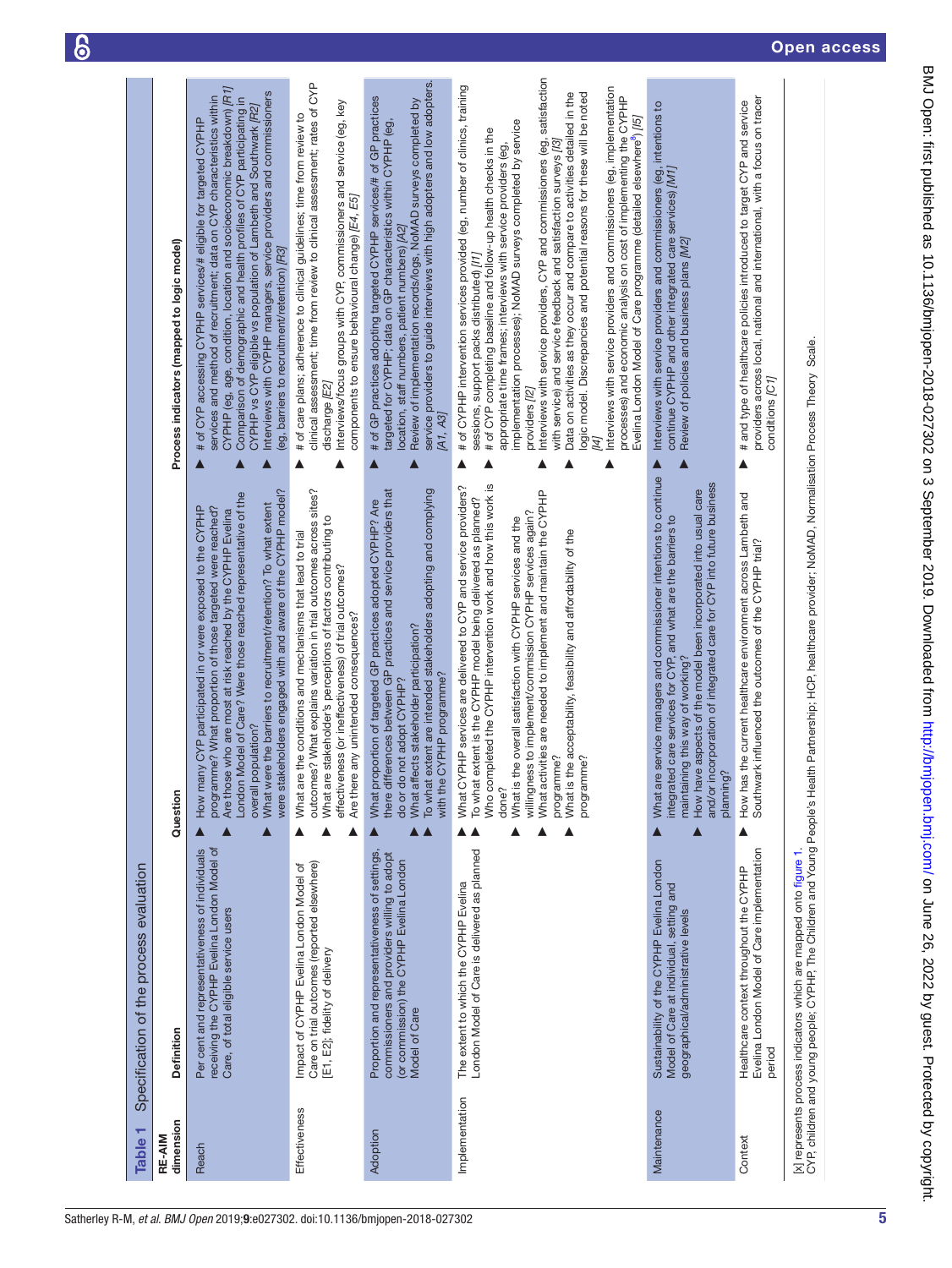$\delta$ 

<span id="page-4-0"></span>5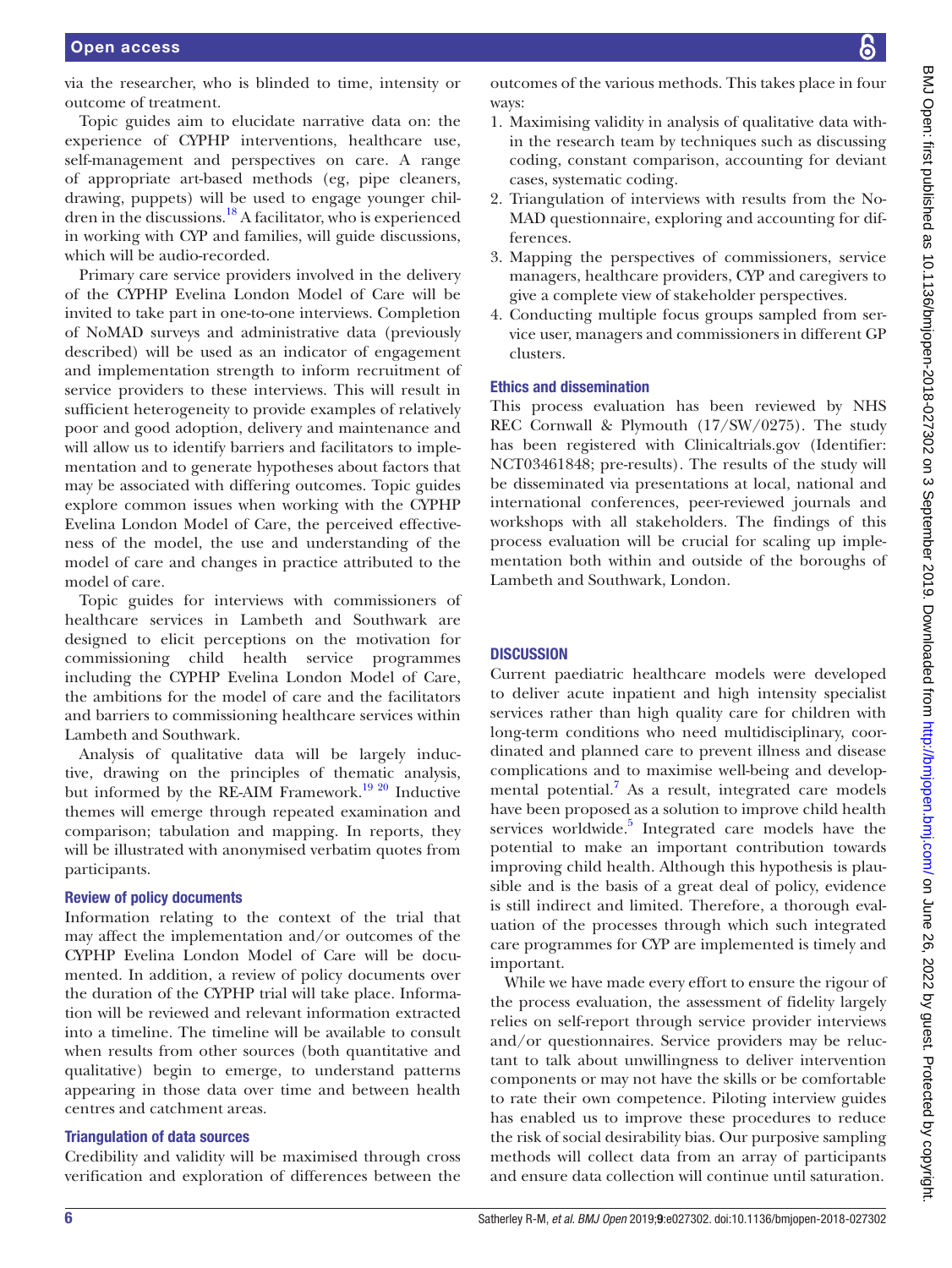via the researcher, who is blinded to time, intensity or outcome of treatment.

Topic guides aim to elucidate narrative data on: the experience of CYPHP interventions, healthcare use, self-management and perspectives on care. A range of appropriate art-based methods (eg, pipe cleaners, drawing, puppets) will be used to engage younger children in the discussions[.18](#page-6-12) A facilitator, who is experienced in working with CYP and families, will guide discussions, which will be audio-recorded.

Primary care service providers involved in the delivery of the CYPHP Evelina London Model of Care will be invited to take part in one-to-one interviews. Completion of NoMAD surveys and administrative data (previously described) will be used as an indicator of engagement and implementation strength to inform recruitment of service providers to these interviews. This will result in sufficient heterogeneity to provide examples of relatively poor and good adoption, delivery and maintenance and will allow us to identify barriers and facilitators to implementation and to generate hypotheses about factors that may be associated with differing outcomes. Topic guides explore common issues when working with the CYPHP Evelina London Model of Care, the perceived effectiveness of the model, the use and understanding of the model of care and changes in practice attributed to the model of care.

Topic guides for interviews with commissioners of healthcare services in Lambeth and Southwark are designed to elicit perceptions on the motivation for commissioning child health service programmes including the CYPHP Evelina London Model of Care, the ambitions for the model of care and the facilitators and barriers to commissioning healthcare services within Lambeth and Southwark.

Analysis of qualitative data will be largely inductive, drawing on the principles of thematic analysis, but informed by the RE-AIM Framework.<sup>[19 20](#page-6-13)</sup> Inductive themes will emerge through repeated examination and comparison; tabulation and mapping. In reports, they will be illustrated with anonymised verbatim quotes from participants.

## Review of policy documents

Information relating to the context of the trial that may affect the implementation and/or outcomes of the CYPHP Evelina London Model of Care will be documented. In addition, a review of policy documents over the duration of the CYPHP trial will take place. Information will be reviewed and relevant information extracted into a timeline. The timeline will be available to consult when results from other sources (both quantitative and qualitative) begin to emerge, to understand patterns appearing in those data over time and between health centres and catchment areas.

## Triangulation of data sources

Credibility and validity will be maximised through cross verification and exploration of differences between the

outcomes of the various methods. This takes place in four ways:

- 1. Maximising validity in analysis of qualitative data within the research team by techniques such as discussing coding, constant comparison, accounting for deviant cases, systematic coding.
- 2. Triangulation of interviews with results from the No-MAD questionnaire, exploring and accounting for differences.
- 3. Mapping the perspectives of commissioners, service managers, healthcare providers, CYP and caregivers to give a complete view of stakeholder perspectives.
- 4. Conducting multiple focus groups sampled from service user, managers and commissioners in different GP clusters.

## Ethics and dissemination

This process evaluation has been reviewed by NHS REC Cornwall & Plymouth (17/SW/0275). The study has been registered with Clinicaltrials.gov (Identifier: NCT03461848; pre-results). The results of the study will be disseminated via presentations at local, national and international conferences, peer-reviewed journals and workshops with all stakeholders. The findings of this process evaluation will be crucial for scaling up implementation both within and outside of the boroughs of Lambeth and Southwark, London.

# **DISCUSSION**

Current paediatric healthcare models were developed to deliver acute inpatient and high intensity specialist services rather than high quality care for children with long-term conditions who need multidisciplinary, coordinated and planned care to prevent illness and disease complications and to maximise well-being and developmental potential.<sup>7</sup> As a result, integrated care models have been proposed as a solution to improve child health services worldwide.<sup>[5](#page-6-2)</sup> Integrated care models have the potential to make an important contribution towards improving child health. Although this hypothesis is plausible and is the basis of a great deal of policy, evidence is still indirect and limited. Therefore, a thorough evaluation of the processes through which such integrated care programmes for CYP are implemented is timely and important.

While we have made every effort to ensure the rigour of the process evaluation, the assessment of fidelity largely relies on self-report through service provider interviews and/or questionnaires. Service providers may be reluctant to talk about unwillingness to deliver intervention components or may not have the skills or be comfortable to rate their own competence. Piloting interview guides has enabled us to improve these procedures to reduce the risk of social desirability bias. Our purposive sampling methods will collect data from an array of participants and ensure data collection will continue until saturation.